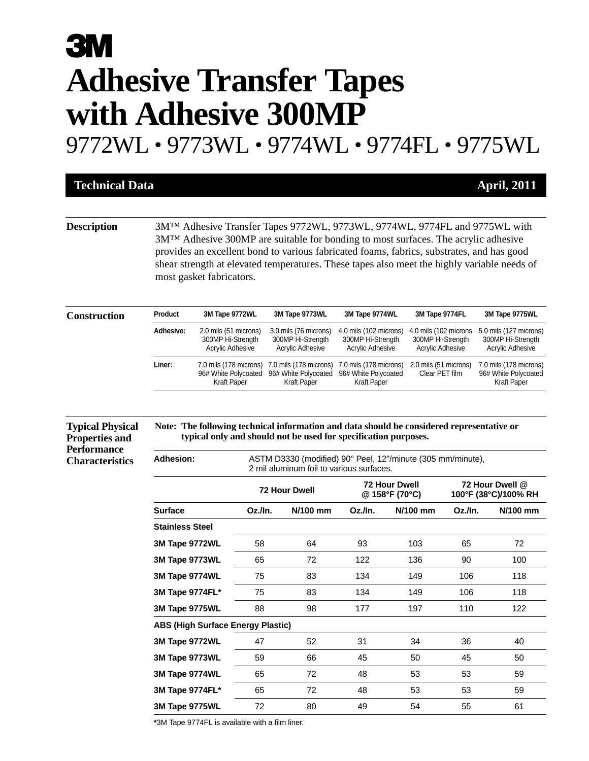## **33 VI Adhesive Transfer Tapes with Adhesive 300MP**

9772WL • 9773WL • 9774WL • 9774FL • 9775WL

| <b>Technical Data</b> |                                                                          |  | <b>April, 2011</b> |  |
|-----------------------|--------------------------------------------------------------------------|--|--------------------|--|
|                       |                                                                          |  |                    |  |
| <b>Description</b>    | 3MTM Adhesiye Transfer Tapes 0772WI 0773WI 0774WI 0774EL and 0775WI with |  |                    |  |

**Description** 3M™ Adhesive Transfer Tapes 9772WL, 9773WL, 9774WL, 9774FL and 9775WL with 3M™ Adhesive 300MP are suitable for bonding to most surfaces. The acrylic adhesive provides an excellent bond to various fabricated foams, fabrics, substrates, and has good shear strength at elevated temperatures. These tapes also meet the highly variable needs of most gasket fabricators.

| <b>Construction</b> | <b>Product</b> | 3M Tape 9772WL                                                 | 3M Tape 9773WL                                                                       | 3M Tape 9774WL                                                  | 3M Tape 9774FL                                                 | 3M Tape 9775WL                                                         |
|---------------------|----------------|----------------------------------------------------------------|--------------------------------------------------------------------------------------|-----------------------------------------------------------------|----------------------------------------------------------------|------------------------------------------------------------------------|
|                     | Adhesive:      | 2.0 mils (51 microns)<br>300MP Hi-Strength<br>Acrylic Adhesive | 3.0 mils (76 microns)<br>300MP Hi-Strength<br>Acrylic Adhesive                       | 4.0 mils (102 microns)<br>300MP Hi-Strength<br>Acrylic Adhesive | 4.0 mils (102 microns<br>300MP Hi-Strength<br>Acrylic Adhesive | 5.0 mils (127 microns)<br>300MP Hi-Strength<br><b>Acrylic Adhesive</b> |
|                     | Liner:         | 96# White Polycoated<br>Kraft Paper                            | 7.0 mils (178 microns) 7.0 mils (178 microns)<br>96# White Polycoated<br>Kraft Paper | 7.0 mils (178 microns)<br>96# White Polycoated<br>Kraft Paper   | 2.0 mils (51 microns)<br>Clear PET film                        | 7.0 mils (178 microns)<br>96# White Polycoated<br>Kraft Paper          |

| Note: The following technical information and data should be considered representative or |
|-------------------------------------------------------------------------------------------|
| typical only and should not be used for specification purposes.                           |

| <b>Properties and</b>  |
|------------------------|
| <b>Performance</b>     |
| <b>Characteristics</b> |

**Typical Physical**

Adhesion: ASTM D3330 (modified) 90° Peel, 12"/minute (305 mm/minute), 2 mil aluminum foil to various surfaces.

|                                          |         | <b>72 Hour Dwell</b> | <b>72 Hour Dwell</b><br>@ 158°F (70°C) |            | 72 Hour Dwell @<br>100°F (38°C)/100% RH |          |
|------------------------------------------|---------|----------------------|----------------------------------------|------------|-----------------------------------------|----------|
| <b>Surface</b>                           | Oz./In. | N/100 mm             | Oz./In.                                | $N/100$ mm | Oz./In.                                 | N/100 mm |
| <b>Stainless Steel</b>                   |         |                      |                                        |            |                                         |          |
| 3M Tape 9772WL                           | 58      | 64                   | 93                                     | 103        | 65                                      | 72       |
| 3M Tape 9773WL                           | 65      | 72                   | 122                                    | 136        | 90                                      | 100      |
| 3M Tape 9774WL                           | 75      | 83                   | 134                                    | 149        | 106                                     | 118      |
| 3M Tape 9774FL*                          | 75      | 83                   | 134                                    | 149        | 106                                     | 118      |
| 3M Tape 9775WL                           | 88      | 98                   | 177                                    | 197        | 110                                     | 122      |
| <b>ABS (High Surface Energy Plastic)</b> |         |                      |                                        |            |                                         |          |
| 3M Tape 9772WL                           | 47      | 52                   | 31                                     | 34         | 36                                      | 40       |
| 3M Tape 9773WL                           | 59      | 66                   | 45                                     | 50         | 45                                      | 50       |
| 3M Tape 9774WL                           | 65      | 72                   | 48                                     | 53         | 53                                      | 59       |
| 3M Tape 9774FL*                          | 65      | 72                   | 48                                     | 53         | 53                                      | 59       |
| 3M Tape 9775WL                           | 72      | 80                   | 49                                     | 54         | 55                                      | 61       |

**\***3M Tape 9774FL is available with a film liner.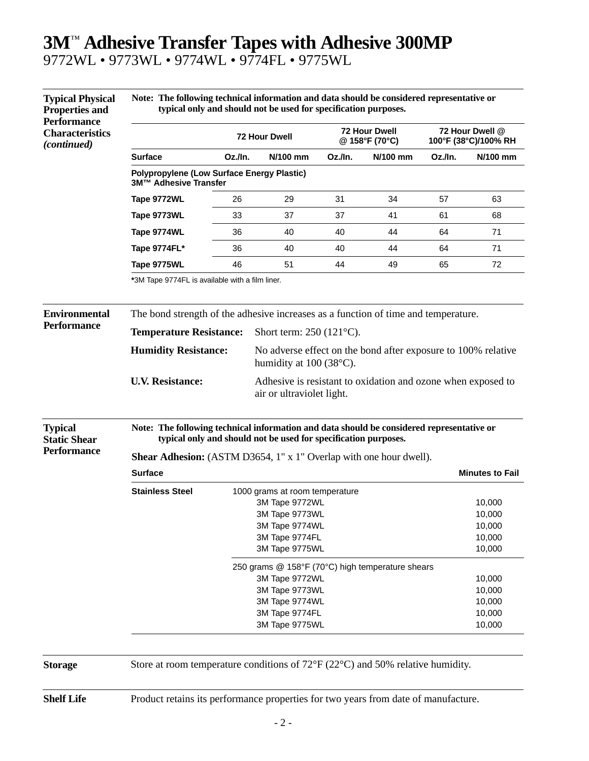## **3M**™ **Adhesive Transfer Tapes with Adhesive 300MP**

9772WL • 9773WL • 9774WL • 9774FL • 9775WL

**Typical Physical**

| Note: The following technical information and data should be considered representative or |  |
|-------------------------------------------------------------------------------------------|--|
| typical only and should not be used for specification purposes.                           |  |

| <b>Properties and</b><br><b>Performance</b><br><b>Characteristics</b><br><i>(continued)</i> | typical only and should not be used for specification purposes.                                                                                              |                                                                                           |                                                                                          |                                        |          |                                         |          |  |
|---------------------------------------------------------------------------------------------|--------------------------------------------------------------------------------------------------------------------------------------------------------------|-------------------------------------------------------------------------------------------|------------------------------------------------------------------------------------------|----------------------------------------|----------|-----------------------------------------|----------|--|
|                                                                                             |                                                                                                                                                              |                                                                                           | 72 Hour Dwell                                                                            | <b>72 Hour Dwell</b><br>@ 158°F (70°C) |          | 72 Hour Dwell @<br>100°F (38°C)/100% RH |          |  |
|                                                                                             | <b>Surface</b>                                                                                                                                               | Oz./In.                                                                                   | N/100 mm                                                                                 | Oz./In.                                | N/100 mm | Oz./In.                                 | N/100 mm |  |
|                                                                                             | <b>Polypropylene (Low Surface Energy Plastic)</b><br>3M™ Adhesive Transfer                                                                                   |                                                                                           |                                                                                          |                                        |          |                                         |          |  |
|                                                                                             | Tape 9772WL                                                                                                                                                  | 26                                                                                        | 29                                                                                       | 31                                     | 34       | 57                                      | 63       |  |
|                                                                                             | Tape 9773WL                                                                                                                                                  | 33                                                                                        | 37                                                                                       | 37                                     | 41       | 61                                      | 68       |  |
|                                                                                             | Tape 9774WL                                                                                                                                                  | 36                                                                                        | 40                                                                                       | 40                                     | 44       | 64                                      | 71       |  |
|                                                                                             | Tape 9774FL*                                                                                                                                                 | 36                                                                                        | 40                                                                                       | 40                                     | 44       | 64                                      | 71       |  |
|                                                                                             | Tape 9775WL                                                                                                                                                  | 46                                                                                        | 51                                                                                       | 44                                     | 49       | 65                                      | 72       |  |
|                                                                                             | *3M Tape 9774FL is available with a film liner.                                                                                                              |                                                                                           |                                                                                          |                                        |          |                                         |          |  |
| <b>Environmental</b>                                                                        | The bond strength of the adhesive increases as a function of time and temperature.                                                                           |                                                                                           |                                                                                          |                                        |          |                                         |          |  |
| <b>Performance</b>                                                                          | <b>Temperature Resistance:</b>                                                                                                                               |                                                                                           | Short term: $250(121^{\circ}C)$ .                                                        |                                        |          |                                         |          |  |
|                                                                                             | <b>Humidity Resistance:</b>                                                                                                                                  |                                                                                           | No adverse effect on the bond after exposure to 100% relative<br>humidity at 100 (38°C). |                                        |          |                                         |          |  |
|                                                                                             | <b>U.V. Resistance:</b>                                                                                                                                      | Adhesive is resistant to oxidation and ozone when exposed to<br>air or ultraviolet light. |                                                                                          |                                        |          |                                         |          |  |
| <b>Typical</b><br><b>Static Shear</b>                                                       | Note: The following technical information and data should be considered representative or<br>typical only and should not be used for specification purposes. |                                                                                           |                                                                                          |                                        |          |                                         |          |  |
| <b>Performance</b>                                                                          | <b>Shear Adhesion:</b> (ASTM D3654, 1" x 1" Overlap with one hour dwell).                                                                                    |                                                                                           |                                                                                          |                                        |          |                                         |          |  |
|                                                                                             | <b>Surface</b><br><b>Minutes to Fail</b>                                                                                                                     |                                                                                           |                                                                                          |                                        |          |                                         |          |  |
|                                                                                             | <b>Stainless Steel</b>                                                                                                                                       |                                                                                           | 1000 grams at room temperature                                                           |                                        |          |                                         |          |  |
|                                                                                             |                                                                                                                                                              |                                                                                           | 3M Tape 9772WL                                                                           | 10,000                                 |          |                                         |          |  |
|                                                                                             |                                                                                                                                                              |                                                                                           | 3M Tape 9773WL                                                                           |                                        |          |                                         | 10,000   |  |
|                                                                                             |                                                                                                                                                              |                                                                                           | 3M Tape 9774WL                                                                           |                                        |          |                                         | 10,000   |  |
|                                                                                             |                                                                                                                                                              | 3M Tape 9774FL                                                                            |                                                                                          |                                        |          |                                         | 10,000   |  |
|                                                                                             | 3M Tape 9775WL<br>10,000                                                                                                                                     |                                                                                           |                                                                                          |                                        |          |                                         |          |  |
|                                                                                             | 250 grams @ 158°F (70°C) high temperature shears                                                                                                             |                                                                                           |                                                                                          |                                        |          |                                         |          |  |
|                                                                                             |                                                                                                                                                              | 3M Tape 9772WL                                                                            |                                                                                          |                                        |          |                                         | 10,000   |  |
|                                                                                             |                                                                                                                                                              |                                                                                           | 3M Tape 9773WL                                                                           |                                        |          |                                         | 10,000   |  |
|                                                                                             |                                                                                                                                                              |                                                                                           | 3M Tape 9774WL                                                                           |                                        |          |                                         | 10,000   |  |
|                                                                                             |                                                                                                                                                              |                                                                                           | 3M Tape 9774FL                                                                           |                                        |          |                                         | 10,000   |  |
|                                                                                             |                                                                                                                                                              |                                                                                           | 3M Tape 9775WL                                                                           |                                        |          |                                         | 10,000   |  |

**Storage** Store at room temperature conditions of 72°F (22°C) and 50% relative humidity.

**Shelf Life** Product retains its performance properties for two years from date of manufacture.